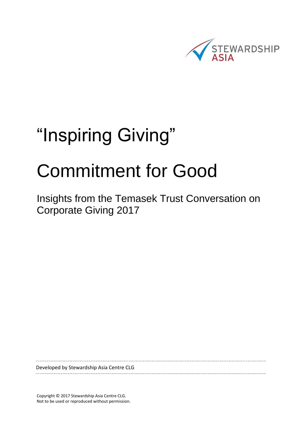

# "Inspiring Giving"

# Commitment for Good

Insights from the Temasek Trust Conversation on Corporate Giving 2017

Developed by Stewardship Asia Centre CLG

Copyright © 2017 Stewardship Asia Centre CLG. Not to be used or reproduced without permission.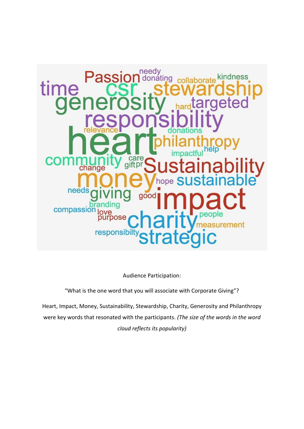

Audience Participation:

"What is the one word that you will associate with Corporate Giving"?

Heart, Impact, Money, Sustainability, Stewardship, Charity, Generosity and Philanthropy were key words that resonated with the participants. *(The size of the words in the word cloud reflects its popularity)*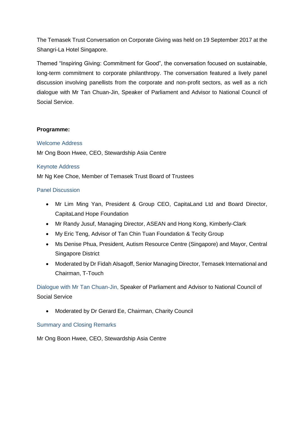The Temasek Trust Conversation on Corporate Giving was held on 19 September 2017 at the Shangri-La Hotel Singapore.

Themed "Inspiring Giving: Commitment for Good", the conversation focused on sustainable, long-term commitment to corporate philanthropy. The conversation featured a lively panel discussion involving panellists from the corporate and non-profit sectors, as well as a rich dialogue with Mr Tan Chuan-Jin, Speaker of Parliament and Advisor to National Council of Social Service.

# **Programme:**

### Welcome Address

Mr Ong Boon Hwee, CEO, Stewardship Asia Centre

# Keynote Address

Mr Ng Kee Choe, Member of Temasek Trust Board of Trustees

# Panel Discussion

- Mr Lim Ming Yan, President & Group CEO, CapitaLand Ltd and Board Director, CapitaLand Hope Foundation
- Mr Randy Jusuf, Managing Director, ASEAN and Hong Kong, Kimberly-Clark
- My Eric Teng, Advisor of Tan Chin Tuan Foundation & Tecity Group
- Ms Denise Phua, President, Autism Resource Centre (Singapore) and Mayor, Central Singapore District
- Moderated by Dr Fidah Alsagoff, Senior Managing Director, Temasek International and Chairman, T-Touch

Dialogue with Mr Tan Chuan-Jin, Speaker of Parliament and Advisor to National Council of Social Service

Moderated by Dr Gerard Ee, Chairman, Charity Council

# Summary and Closing Remarks

Mr Ong Boon Hwee, CEO, Stewardship Asia Centre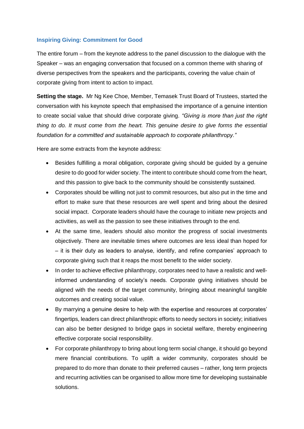# **Inspiring Giving: Commitment for Good**

The entire forum – from the keynote address to the panel discussion to the dialogue with the Speaker – was an engaging conversation that focused on a common theme with sharing of diverse perspectives from the speakers and the participants, covering the value chain of corporate giving from intent to action to impact.

**Setting the stage.** Mr Ng Kee Choe, Member, Temasek Trust Board of Trustees, started the conversation with his keynote speech that emphasised the importance of a genuine intention to create social value that should drive corporate giving. *"Giving is more than just the right thing to do. It must come from the heart. This genuine desire to give forms the essential foundation for a committed and sustainable approach to corporate philanthropy."* 

Here are some extracts from the keynote address:

- Besides fulfilling a moral obligation, corporate giving should be guided by a genuine desire to do good for wider society. The intent to contribute should come from the heart, and this passion to give back to the community should be consistently sustained.
- Corporates should be willing not just to commit resources, but also put in the time and effort to make sure that these resources are well spent and bring about the desired social impact. Corporate leaders should have the courage to initiate new projects and activities, as well as the passion to see these initiatives through to the end.
- At the same time, leaders should also monitor the progress of social investments objectively. There are inevitable times where outcomes are less ideal than hoped for – it is their duty as leaders to analyse, identify, and refine companies' approach to corporate giving such that it reaps the most benefit to the wider society.
- In order to achieve effective philanthropy, corporates need to have a realistic and wellinformed understanding of society's needs. Corporate giving initiatives should be aligned with the needs of the target community, bringing about meaningful tangible outcomes and creating social value.
- By marrying a genuine desire to help with the expertise and resources at corporates' fingertips, leaders can direct philanthropic efforts to needy sectors in society; initiatives can also be better designed to bridge gaps in societal welfare, thereby engineering effective corporate social responsibility.
- For corporate philanthropy to bring about long term social change, it should go beyond mere financial contributions. To uplift a wider community, corporates should be prepared to do more than donate to their preferred causes – rather, long term projects and recurring activities can be organised to allow more time for developing sustainable solutions.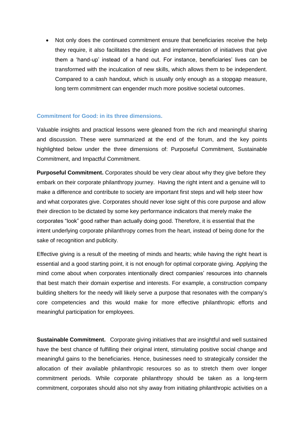Not only does the continued commitment ensure that beneficiaries receive the help they require, it also facilitates the design and implementation of initiatives that give them a 'hand-up' instead of a hand out. For instance, beneficiaries' lives can be transformed with the inculcation of new skills, which allows them to be independent. Compared to a cash handout, which is usually only enough as a stopgap measure, long term commitment can engender much more positive societal outcomes.

#### **Commitment for Good: in its three dimensions.**

Valuable insights and practical lessons were gleaned from the rich and meaningful sharing and discussion. These were summarized at the end of the forum, and the key points highlighted below under the three dimensions of: Purposeful Commitment, Sustainable Commitment, and Impactful Commitment.

**Purposeful Commitment.** Corporates should be very clear about why they give before they embark on their corporate philanthropy journey. Having the right intent and a genuine will to make a difference and contribute to society are important first steps and will help steer how and what corporates give. Corporates should never lose sight of this core purpose and allow their direction to be dictated by some key performance indicators that merely make the corporates "look" good rather than actually doing good. Therefore, it is essential that the intent underlying corporate philanthropy comes from the heart, instead of being done for the sake of recognition and publicity.

Effective giving is a result of the meeting of minds and hearts; while having the right heart is essential and a good starting point, it is not enough for optimal corporate giving. Applying the mind come about when corporates intentionally direct companies' resources into channels that best match their domain expertise and interests. For example, a construction company building shelters for the needy will likely serve a purpose that resonates with the company's core competencies and this would make for more effective philanthropic efforts and meaningful participation for employees.

**Sustainable Commitment.** Corporate giving initiatives that are insightful and well sustained have the best chance of fulfilling their original intent, stimulating positive social change and meaningful gains to the beneficiaries. Hence, businesses need to strategically consider the allocation of their available philanthropic resources so as to stretch them over longer commitment periods. While corporate philanthropy should be taken as a long-term commitment, corporates should also not shy away from initiating philanthropic activities on a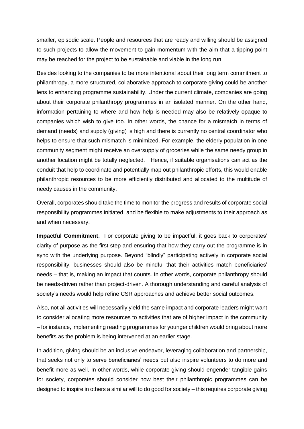smaller, episodic scale. People and resources that are ready and willing should be assigned to such projects to allow the movement to gain momentum with the aim that a tipping point may be reached for the project to be sustainable and viable in the long run.

Besides looking to the companies to be more intentional about their long term commitment to philanthropy, a more structured, collaborative approach to corporate giving could be another lens to enhancing programme sustainability. Under the current climate, companies are going about their corporate philanthropy programmes in an isolated manner. On the other hand, information pertaining to where and how help is needed may also be relatively opaque to companies which wish to give too. In other words, the chance for a mismatch in terms of demand (needs) and supply (giving) is high and there is currently no central coordinator who helps to ensure that such mismatch is minimized. For example, the elderly population in one community segment might receive an oversupply of groceries while the same needy group in another location might be totally neglected. Hence, if suitable organisations can act as the conduit that help to coordinate and potentially map out philanthropic efforts, this would enable philanthropic resources to be more efficiently distributed and allocated to the multitude of needy causes in the community.

Overall, corporates should take the time to monitor the progress and results of corporate social responsibility programmes initiated, and be flexible to make adjustments to their approach as and when necessary.

**Impactful Commitment.** For corporate giving to be impactful, it goes back to corporates' clarity of purpose as the first step and ensuring that how they carry out the programme is in sync with the underlying purpose. Beyond "blindly" participating actively in corporate social responsibility, businesses should also be mindful that their activities match beneficiaries' needs – that is, making an impact that counts. In other words, corporate philanthropy should be needs-driven rather than project-driven. A thorough understanding and careful analysis of society's needs would help refine CSR approaches and achieve better social outcomes.

Also, not all activities will necessarily yield the same impact and corporate leaders might want to consider allocating more resources to activities that are of higher impact in the community – for instance, implementing reading programmes for younger children would bring about more benefits as the problem is being intervened at an earlier stage.

In addition, giving should be an inclusive endeavor, leveraging collaboration and partnership, that seeks not only to serve beneficiaries' needs but also inspire volunteers to do more and benefit more as well. In other words, while corporate giving should engender tangible gains for society, corporates should consider how best their philanthropic programmes can be designed to inspire in others a similar will to do good for society – this requires corporate giving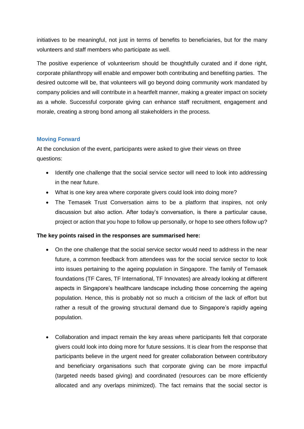initiatives to be meaningful, not just in terms of benefits to beneficiaries, but for the many volunteers and staff members who participate as well.

The positive experience of volunteerism should be thoughtfully curated and if done right, corporate philanthropy will enable and empower both contributing and benefiting parties. The desired outcome will be, that volunteers will go beyond doing community work mandated by company policies and will contribute in a heartfelt manner, making a greater impact on society as a whole. Successful corporate giving can enhance staff recruitment, engagement and morale, creating a strong bond among all stakeholders in the process.

# **Moving Forward**

At the conclusion of the event, participants were asked to give their views on three questions:

- Identify one challenge that the social service sector will need to look into addressing in the near future.
- What is one key area where corporate givers could look into doing more?
- The Temasek Trust Conversation aims to be a platform that inspires, not only discussion but also action. After today's conversation, is there a particular cause, project or action that you hope to follow up personally, or hope to see others follow up?

### **The key points raised in the responses are summarised here:**

- On the one challenge that the social service sector would need to address in the near future, a common feedback from attendees was for the social service sector to look into issues pertaining to the ageing population in Singapore. The family of Temasek foundations (TF Cares, TF International, TF Innovates) are already looking at different aspects in Singapore's healthcare landscape including those concerning the ageing population. Hence, this is probably not so much a criticism of the lack of effort but rather a result of the growing structural demand due to Singapore's rapidly ageing population.
- Collaboration and impact remain the key areas where participants felt that corporate givers could look into doing more for future sessions. It is clear from the response that participants believe in the urgent need for greater collaboration between contributory and beneficiary organisations such that corporate giving can be more impactful (targeted needs based giving) and coordinated (resources can be more efficiently allocated and any overlaps minimized). The fact remains that the social sector is